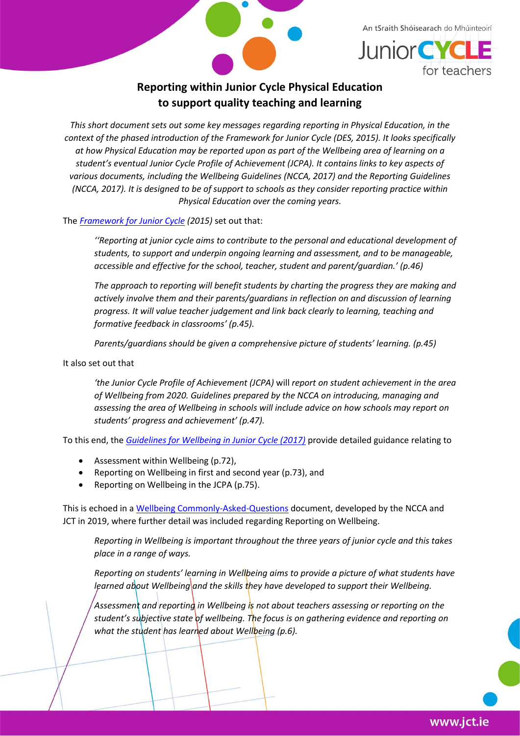



# **Reporting within Junior Cycle Physical Education to support quality teaching and learning**

*This short document sets out some key messages regarding reporting in Physical Education, in the context of the phased introduction of the Framework for Junior Cycle (DES, 2015). It looks specifically at how Physical Education may be reported upon as part of the Wellbeing area of learning on a student's eventual Junior Cycle Profile of Achievement (JCPA). It contains links to key aspects of various documents, including the Wellbeing Guidelines (NCCA, 2017) and the Reporting Guidelines (NCCA, 2017). It is designed to be of support to schools as they consider reporting practice within Physical Education over the coming years.*

The *[Framework for Junior Cycle](https://www.education.ie/en/Publications/Policy-Reports/Framework-for-Junior-Cycle-2015.pdf) (2015)* set out that:

*''Reporting at junior cycle aims to contribute to the personal and educational development of students, to support and underpin ongoing learning and assessment, and to be manageable, accessible and effective for the school, teacher, student and parent/guardian.' (p.46)*

*The approach to reporting will benefit students by charting the progress they are making and actively involve them and their parents/guardians in reflection on and discussion of learning progress. It will value teacher judgement and link back clearly to learning, teaching and formative feedback in classrooms' (p.45).*

*Parents/guardians should be given a comprehensive picture of students' learning. (p.45)*

It also set out that

*'the Junior Cycle Profile of Achievement (JCPA)* will *report on student achievement in the area of Wellbeing from 2020. Guidelines prepared by the NCCA on introducing, managing and assessing the area of Wellbeing in schools will include advice on how schools may report on students' progress and achievement' (p.47).*

To this end, the *[Guidelines for Wellbeing in Junior Cycle \(2017\)](https://www.ncca.ie/media/2487/wellbeingguidelines_forjunior_cycle.pdf)* provide detailed guidance relating to

- Assessment within Wellbeing (p.72),
- Reporting on Wellbeing in first and second year (p.73), and
- Reporting on Wellbeing in the JCPA (p.75).

This is echoed in a [Wellbeing Commonly-Asked-Questions](https://www.jct.ie/perch/resources/about/wellbeing-commonly-asked-questions.pdf) document, developed by the NCCA and JCT in 2019, where further detail was included regarding Reporting on Wellbeing.

*Reporting in Wellbeing is important throughout the three years of junior cycle and this takes place in a range of ways.*

*Reporting on students' learning in Wellbeing aims to provide a picture of what students have learned about Wellbeing* and the skills they have developed to support their Wellbeing.

*Assessment and reporting in Wellbeing is not about teachers assessing or reporting on the student's subjective state of wellbeing. The focus is on gathering evidence and reporting on what the student has learned about Wellbeing (p.6).*